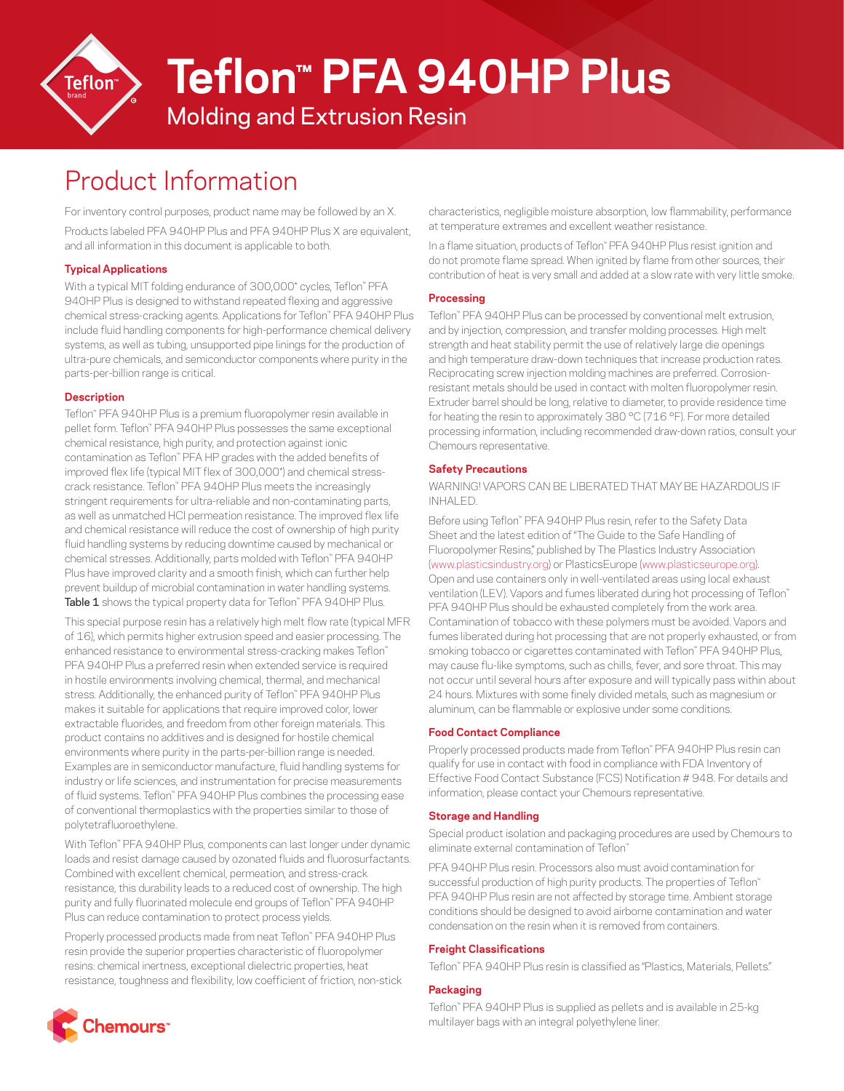

# Molding and Extrusion Resin **Teflon™ PFA 940HP Plus**

# Product Information

For inventory control purposes, product name may be followed by an X.

Products labeled PFA 940HP Plus and PFA 940HP Plus X are equivalent, and all information in this document is applicable to both.

# **Typical Applications**

With a typical MIT folding endurance of 300,000\* cycles, Teflon™ PFA 940HP Plus is designed to withstand repeated flexing and aggressive chemical stress-cracking agents. Applications for Teflon™ PFA 940HP Plus include fluid handling components for high-performance chemical delivery systems, as well as tubing, unsupported pipe linings for the production of ultra-pure chemicals, and semiconductor components where purity in the parts-per-billion range is critical.

## **Description**

Teflon™ PFA 940HP Plus is a premium fluoropolymer resin available in pellet form. Teflon™ PFA 940HP Plus possesses the same exceptional chemical resistance, high purity, and protection against ionic contamination as Teflon™ PFA HP grades with the added benefits of improved flex life (typical MIT flex of 300,000\*) and chemical stresscrack resistance. Teflon™ PFA 940HP Plus meets the increasingly stringent requirements for ultra-reliable and non-contaminating parts, as well as unmatched HCl permeation resistance. The improved flex life and chemical resistance will reduce the cost of ownership of high purity fluid handling systems by reducing downtime caused by mechanical or chemical stresses. Additionally, parts molded with Teflon™ PFA 940HP Plus have improved clarity and a smooth finish, which can further help prevent buildup of microbial contamination in water handling systems. **Table 1** shows the typical property data for Teflon™ PFA 940HP Plus.

This special purpose resin has a relatively high melt flow rate (typical MFR of 16), which permits higher extrusion speed and easier processing. The enhanced resistance to environmental stress-cracking makes Teflon™ PFA 940HP Plus a preferred resin when extended service is required in hostile environments involving chemical, thermal, and mechanical stress. Additionally, the enhanced purity of Teflon™ PFA 940HP Plus makes it suitable for applications that require improved color, lower extractable fluorides, and freedom from other foreign materials. This product contains no additives and is designed for hostile chemical environments where purity in the parts-per-billion range is needed. Examples are in semiconductor manufacture, fluid handling systems for industry or life sciences, and instrumentation for precise measurements of fluid systems. Teflon™ PFA 940HP Plus combines the processing ease of conventional thermoplastics with the properties similar to those of polytetrafluoroethylene.

With Teflon™ PFA 940HP Plus, components can last longer under dynamic loads and resist damage caused by ozonated fluids and fluorosurfactants. Combined with excellent chemical, permeation, and stress-crack resistance, this durability leads to a reduced cost of ownership. The high purity and fully fluorinated molecule end groups of Teflon™ PFA 940HP Plus can reduce contamination to protect process yields.

Properly processed products made from neat Teflon™ PFA 940HP Plus resin provide the superior properties characteristic of fluoropolymer resins: chemical inertness, exceptional dielectric properties, heat resistance, toughness and flexibility, low coefficient of friction, non-stick characteristics, negligible moisture absorption, low flammability, performance at temperature extremes and excellent weather resistance.

In a flame situation, products of Teflon™ PFA 940HP Plus resist ignition and do not promote flame spread. When ignited by flame from other sources, their contribution of heat is very small and added at a slow rate with very little smoke.

## **Processing**

Teflon™ PFA 940HP Plus can be processed by conventional melt extrusion, and by injection, compression, and transfer molding processes. High melt strength and heat stability permit the use of relatively large die openings and high temperature draw-down techniques that increase production rates. Reciprocating screw injection molding machines are preferred. Corrosionresistant metals should be used in contact with molten fluoropolymer resin. Extruder barrel should be long, relative to diameter, to provide residence time for heating the resin to approximately 380 °C (716 °F). For more detailed processing information, including recommended draw-down ratios, consult your Chemours representative.

# **Safety Precautions**

WARNING! VAPORS CAN BE LIBERATED THAT MAY BE HAZARDOUS IF INHALED.

Before using Teflon™ PFA 940HP Plus resin, refer to the Safety Data Sheet and the latest edition of "The Guide to the Safe Handling of Fluoropolymer Resins," published by The Plastics Industry Association ([www.plasticsindustry.org](http://www.plasticsindustry.org)) or PlasticsEurope [\(www.plasticseurope.org\)](http://www.plasticseurope.org). Open and use containers only in well-ventilated areas using local exhaust ventilation (LEV). Vapors and fumes liberated during hot processing of Teflon™ PFA 940HP Plus should be exhausted completely from the work area. Contamination of tobacco with these polymers must be avoided. Vapors and fumes liberated during hot processing that are not properly exhausted, or from smoking tobacco or cigarettes contaminated with Teflon™ PFA 940HP Plus, may cause flu-like symptoms, such as chills, fever, and sore throat. This may not occur until several hours after exposure and will typically pass within about 24 hours. Mixtures with some finely divided metals, such as magnesium or aluminum, can be flammable or explosive under some conditions.

## **Food Contact Compliance**

Properly processed products made from Teflon™ PFA 940HP Plus resin can qualify for use in contact with food in compliance with FDA Inventory of Effective Food Contact Substance (FCS) Notification # 948. For details and information, please contact your Chemours representative.

## **Storage and Handling**

Special product isolation and packaging procedures are used by Chemours to eliminate external contamination of Teflon™

PFA 940HP Plus resin. Processors also must avoid contamination for successful production of high purity products. The properties of Teflon™ PFA 940HP Plus resin are not affected by storage time. Ambient storage conditions should be designed to avoid airborne contamination and water condensation on the resin when it is removed from containers.

#### **Freight Classifications**

Teflon™ PFA 940HP Plus resin is classified as "Plastics, Materials, Pellets."

## **Packaging**

Teflon™ PFA 940HP Plus is supplied as pellets and is available in 25-kg multilayer bags with an integral polyethylene liner.